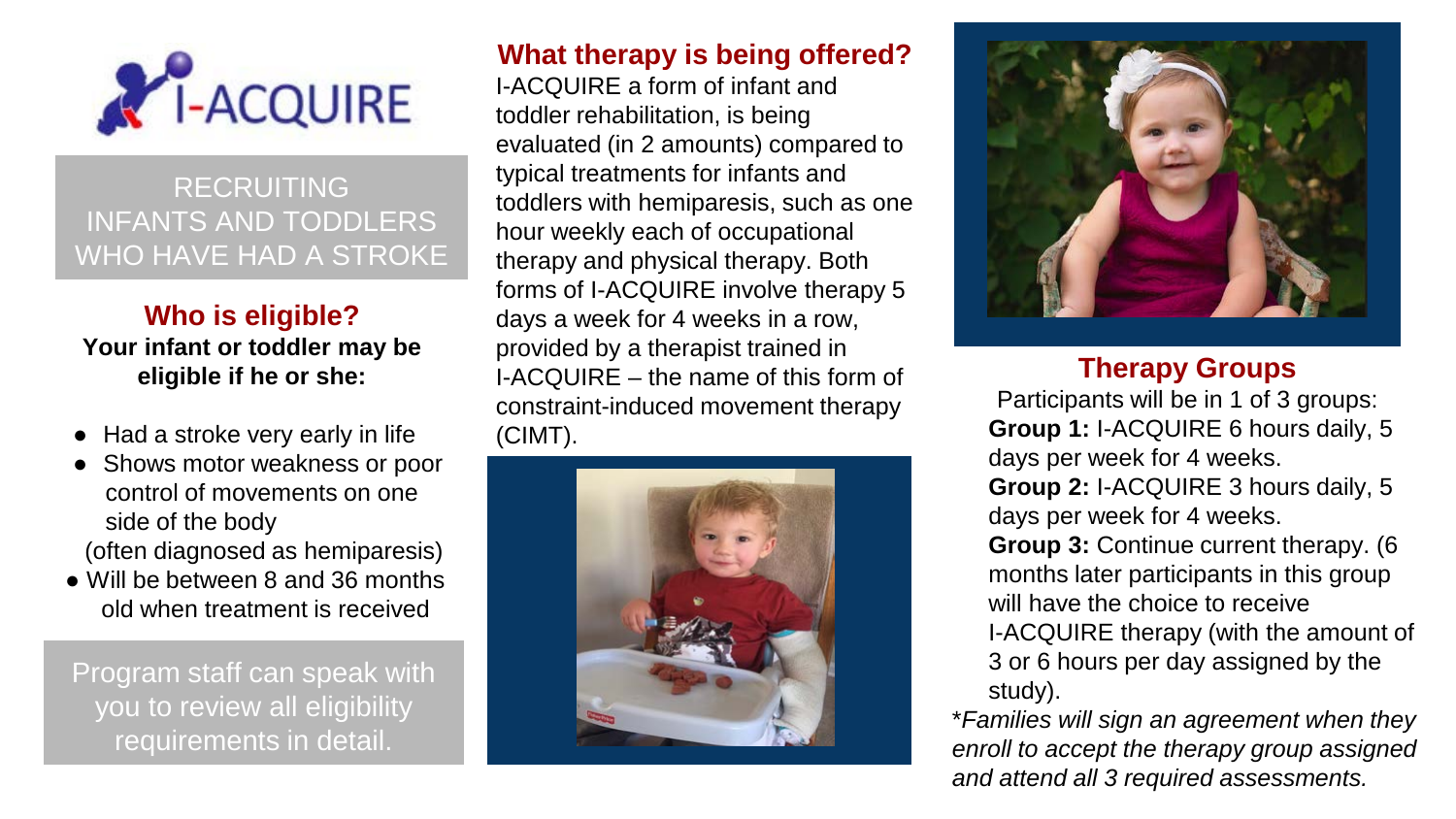

# RECRUITING INFANTS AND TODDLERS WHO HAVE HAD A STROKE

### **Who is eligible? Your infant or toddler may be eligible if he or she:**

- Had a stroke very early in life
- Shows motor weakness or poor control of movements on one side of the body (often diagnosed as hemiparesis)
- 
- Will be between 8 and 36 months old when treatment is received

Program staff can speak with you to review all eligibility requirements in detail.

## **What therapy is being offered?**

I-ACQUIRE a form of infant and toddler rehabilitation, is being evaluated (in 2 amounts) compared to typical treatments for infants and toddlers with hemiparesis, such as one hour weekly each of occupational therapy and physical therapy. Both forms of I-ACQUIRE involve therapy 5 days a week for 4 weeks in a row, provided by a therapist trained in I-ACQUIRE – the name of this form of constraint-induced movement therapy (CIMT).





### **Therapy Groups**

Participants will be in 1 of 3 groups: **Group 1:** I-ACQUIRE 6 hours daily, 5 days per week for 4 weeks.

**Group 2:** I-ACQUIRE 3 hours daily, 5 days per week for 4 weeks.

**Group 3:** Continue current therapy. (6 months later participants in this group will have the choice to receive

I-ACQUIRE therapy (with the amount of 3 or 6 hours per day assigned by the study).

\**Families will sign an agreement when they enroll to accept the therapy group assigned and attend all 3 required assessments.*